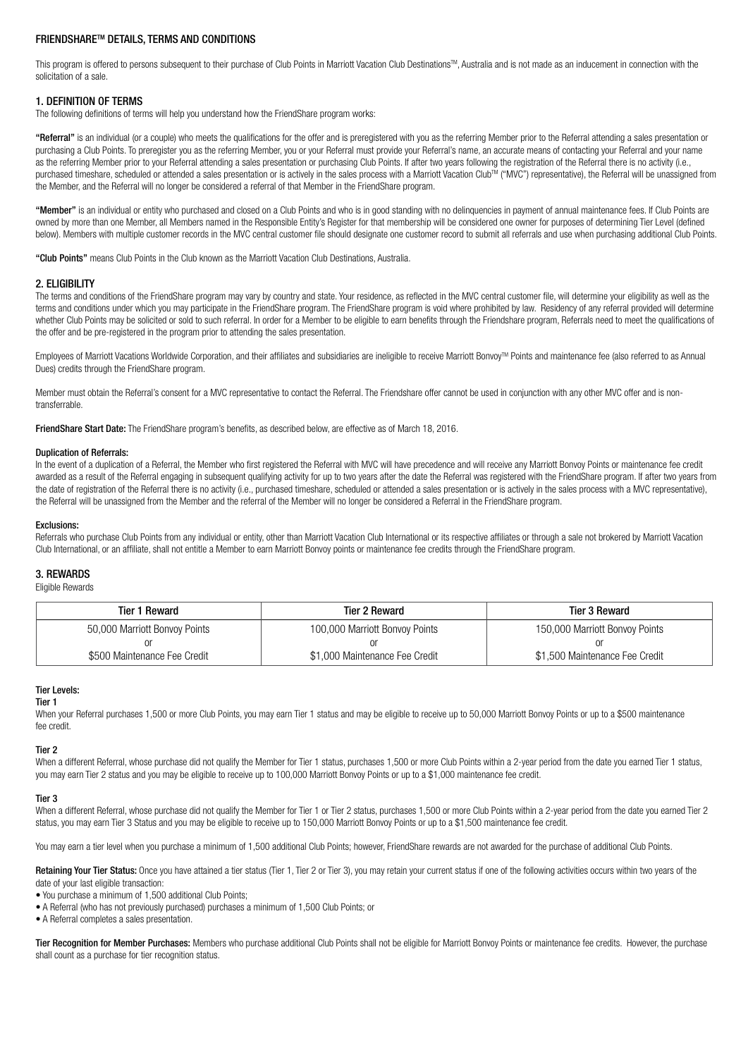# FRIENDSHARETM DETAILS, TERMS AND CONDITIONS

This program is offered to persons subsequent to their purchase of Club Points in Marriott Vacation Club Destinations™. Australia and is not made as an inducement in connection with the solicitation of a sale.

# 1. DEFINITION OF TERMS

The following definitions of terms will help you understand how the FriendShare program works:

"Referral" is an individual (or a couple) who meets the qualifications for the offer and is preregistered with you as the referring Member prior to the Referral attending a sales presentation or purchasing a Club Points. To preregister you as the referring Member, you or your Referral must provide your Referral's name, an accurate means of contacting your Referral and your name as the referring Member prior to your Referral attending a sales presentation or purchasing Club Points. If after two years following the registration of the Referral there is no activity (i.e., purchased timeshare, scheduled or attended a sales presentation or is actively in the sales process with a Marriott Vacation Club<sup>TM</sup> ("MVC") representative), the Referral will be unassigned from the Member, and the Referral will no longer be considered a referral of that Member in the FriendShare program.

"Member" is an individual or entity who purchased and closed on a Club Points and who is in good standing with no delinquencies in payment of annual maintenance fees. If Club Points are owned by more than one Member, all Members named in the Responsible Entity's Register for that membership will be considered one owner for purposes of determining Tier Level (defined below). Members with multiple customer records in the MVC central customer file should designate one customer record to submit all referrals and use when purchasing additional Club Points.

"Club Points" means Club Points in the Club known as the Marriott Vacation Club Destinations, Australia.

# 2. ELIGIBILITY

The terms and conditions of the FriendShare program may vary by country and state. Your residence, as reflected in the MVC central customer file, will determine your eligibility as well as the terms and conditions under which you may participate in the FriendShare program. The FriendShare program is void where prohibited by law. Residency of any referral provided will determine whether Club Points may be solicited or sold to such referral. In order for a Member to be eligible to earn benefits through the Friendshare program, Referrals need to meet the qualifications of the offer and be pre-registered in the program prior to attending the sales presentation.

Employees of Marriott Vacations Worldwide Corporation, and their affiliates and subsidiaries are ineligible to receive Marriott Bonvoy™ Points and maintenance fee (also referred to as Annual Dues) credits through the FriendShare program.

Member must obtain the Referral's consent for a MVC representative to contact the Referral. The Friendshare offer cannot be used in conjunction with any other MVC offer and is nontransferrable.

FriendShare Start Date: The FriendShare program's benefits, as described below, are effective as of March 18, 2016.

# Duplication of Referrals:

In the event of a duplication of a Referral, the Member who first registered the Referral with MVC will have precedence and will receive any Marriott Bonvoy Points or maintenance fee credit awarded as a result of the Referral engaging in subsequent qualifying activity for up to two years after the date the Referral was registered with the FriendShare program. If after two years from the date of registration of the Referral there is no activity (i.e., purchased timeshare, scheduled or attended a sales presentation or is actively in the sales process with a MVC representative), the Referral will be unassigned from the Member and the referral of the Member will no longer be considered a Referral in the FriendShare program.

# Exclusions:

Referrals who purchase Club Points from any individual or entity, other than Marriott Vacation Club International or its respective affiliates or through a sale not brokered by Marriott Vacation Club International, or an affiliate, shall not entitle a Member to earn Marriott Bonvoy points or maintenance fee credits through the FriendShare program.

# 3. REWARDS

#### Eligible Rewards

| Tier 1 Reward                 | <b>Tier 2 Reward</b>           | Tier 3 Reward                  |
|-------------------------------|--------------------------------|--------------------------------|
| 50,000 Marriott Bonvoy Points | 100,000 Marriott Bonvoy Points | 150,000 Marriott Bonvoy Points |
|                               |                                |                                |
| \$500 Maintenance Fee Credit  | \$1,000 Maintenance Fee Credit | \$1,500 Maintenance Fee Credit |

# Tier Levels:

### Tier 1

When your Referral purchases 1,500 or more Club Points, you may earn Tier 1 status and may be eligible to receive up to 50,000 Marriott Bonvoy Points or up to a \$500 maintenance fee credit.

# Tier 2

When a different Referral, whose purchase did not qualify the Member for Tier 1 status, purchases 1,500 or more Club Points within a 2-year period from the date you earned Tier 1 status, you may earn Tier 2 status and you may be eligible to receive up to 100,000 Marriott Bonvoy Points or up to a \$1,000 maintenance fee credit.

# Tier 3

When a different Referral, whose purchase did not qualify the Member for Tier 1 or Tier 2 status, purchases 1,500 or more Club Points within a 2-year period from the date you earned Tier 2 status, you may earn Tier 3 Status and you may be eligible to receive up to 150,000 Marriott Bonvoy Points or up to a \$1,500 maintenance fee credit.

You may earn a tier level when you purchase a minimum of 1,500 additional Club Points; however, FriendShare rewards are not awarded for the purchase of additional Club Points.

Retaining Your Tier Status: Once you have attained a tier status (Tier 1, Tier 2 or Tier 3), you may retain your current status if one of the following activities occurs within two years of the date of your last eligible transaction:

- You purchase a minimum of 1,500 additional Club Points;
- A Referral (who has not previously purchased) purchases a minimum of 1,500 Club Points; or
- A Referral completes a sales presentation.

Tier Recognition for Member Purchases: Members who purchase additional Club Points shall not be eligible for Marriott Bonvoy Points or maintenance fee credits. However, the purchase shall count as a purchase for tier recognition status.